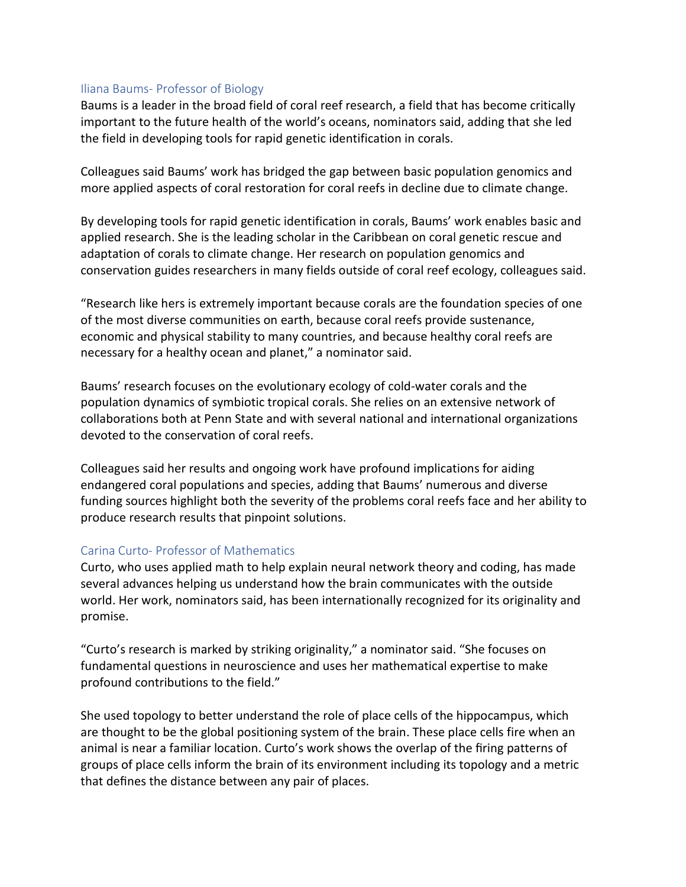## Iliana Baums- Professor of Biology

Baums is a leader in the broad field of coral reef research, a field that has become critically important to the future health of the world's oceans, nominators said, adding that she led the field in developing tools for rapid genetic identification in corals.

Colleagues said Baums' work has bridged the gap between basic population genomics and more applied aspects of coral restoration for coral reefs in decline due to climate change. 

By developing tools for rapid genetic identification in corals, Baums' work enables basic and applied research. She is the leading scholar in the Caribbean on coral genetic rescue and adaptation of corals to climate change. Her research on population genomics and conservation guides researchers in many fields outside of coral reef ecology, colleagues said.

"Research like hers is extremely important because corals are the foundation species of one of the most diverse communities on earth, because coral reefs provide sustenance, economic and physical stability to many countries, and because healthy coral reefs are necessary for a healthy ocean and planet," a nominator said.

Baums' research focuses on the evolutionary ecology of cold-water corals and the population dynamics of symbiotic tropical corals. She relies on an extensive network of collaborations both at Penn State and with several national and international organizations devoted to the conservation of coral reefs.

Colleagues said her results and ongoing work have profound implications for aiding endangered coral populations and species, adding that Baums' numerous and diverse funding sources highlight both the severity of the problems coral reefs face and her ability to produce research results that pinpoint solutions.

# Carina Curto- Professor of Mathematics

Curto, who uses applied math to help explain neural network theory and coding, has made several advances helping us understand how the brain communicates with the outside world. Her work, nominators said, has been internationally recognized for its originality and promise.

"Curto's research is marked by striking originality," a nominator said. "She focuses on fundamental questions in neuroscience and uses her mathematical expertise to make profound contributions to the field."

She used topology to better understand the role of place cells of the hippocampus, which are thought to be the global positioning system of the brain. These place cells fire when an animal is near a familiar location. Curto's work shows the overlap of the firing patterns of groups of place cells inform the brain of its environment including its topology and a metric that defines the distance between any pair of places.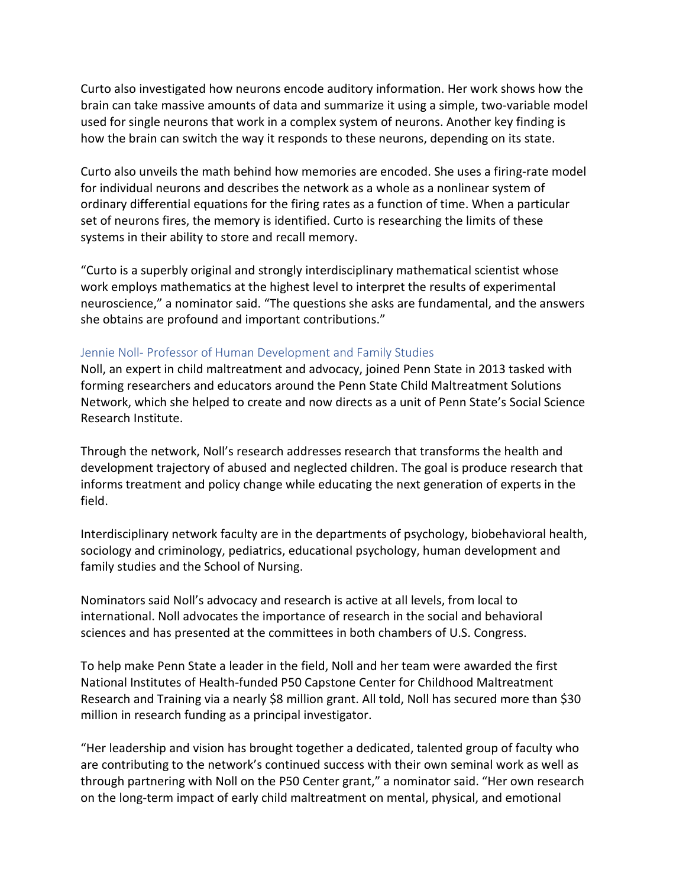Curto also investigated how neurons encode auditory information. Her work shows how the brain can take massive amounts of data and summarize it using a simple, two-variable model used for single neurons that work in a complex system of neurons. Another key finding is how the brain can switch the way it responds to these neurons, depending on its state.

Curto also unveils the math behind how memories are encoded. She uses a firing-rate model for individual neurons and describes the network as a whole as a nonlinear system of ordinary differential equations for the firing rates as a function of time. When a particular set of neurons fires, the memory is identified. Curto is researching the limits of these systems in their ability to store and recall memory.

"Curto is a superbly original and strongly interdisciplinary mathematical scientist whose work employs mathematics at the highest level to interpret the results of experimental neuroscience," a nominator said. "The questions she asks are fundamental, and the answers she obtains are profound and important contributions."

#### Jennie Noll- Professor of Human Development and Family Studies

Noll, an expert in child maltreatment and advocacy, joined Penn State in 2013 tasked with forming researchers and educators around the Penn State Child Maltreatment Solutions Network, which she helped to create and now directs as a unit of Penn State's Social Science Research Institute.

Through the network, Noll's research addresses research that transforms the health and development trajectory of abused and neglected children. The goal is produce research that informs treatment and policy change while educating the next generation of experts in the field.

Interdisciplinary network faculty are in the departments of psychology, biobehavioral health, sociology and criminology, pediatrics, educational psychology, human development and family studies and the School of Nursing.

Nominators said Noll's advocacy and research is active at all levels, from local to international. Noll advocates the importance of research in the social and behavioral sciences and has presented at the committees in both chambers of U.S. Congress.

To help make Penn State a leader in the field, Noll and her team were awarded the first National Institutes of Health-funded P50 Capstone Center for Childhood Maltreatment Research and Training via a nearly \$8 million grant. All told, Noll has secured more than \$30 million in research funding as a principal investigator.

"Her leadership and vision has brought together a dedicated, talented group of faculty who are contributing to the network's continued success with their own seminal work as well as through partnering with Noll on the P50 Center grant," a nominator said. "Her own research on the long-term impact of early child maltreatment on mental, physical, and emotional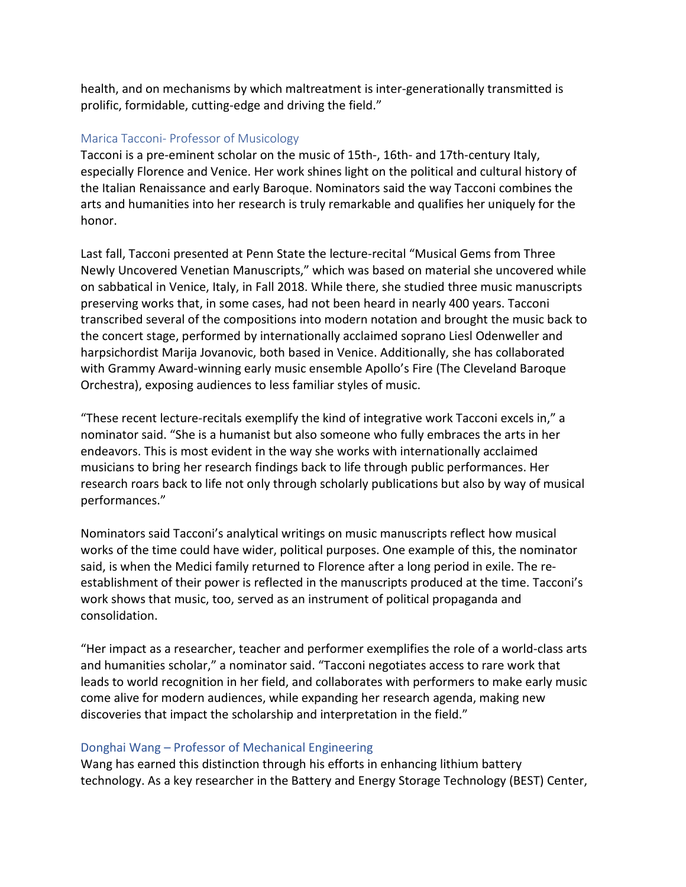health, and on mechanisms by which maltreatment is inter-generationally transmitted is prolific, formidable, cutting-edge and driving the field."

## Marica Tacconi- Professor of Musicology

Tacconi is a pre-eminent scholar on the music of 15th-, 16th- and 17th-century Italy, especially Florence and Venice. Her work shines light on the political and cultural history of the Italian Renaissance and early Baroque. Nominators said the way Tacconi combines the arts and humanities into her research is truly remarkable and qualifies her uniquely for the honor.

Last fall, Tacconi presented at Penn State the lecture-recital "Musical Gems from Three Newly Uncovered Venetian Manuscripts," which was based on material she uncovered while on sabbatical in Venice, Italy, in Fall 2018. While there, she studied three music manuscripts preserving works that, in some cases, had not been heard in nearly 400 years. Tacconi transcribed several of the compositions into modern notation and brought the music back to the concert stage, performed by internationally acclaimed soprano Liesl Odenweller and harpsichordist Marija Jovanovic, both based in Venice. Additionally, she has collaborated with Grammy Award-winning early music ensemble Apollo's Fire (The Cleveland Baroque Orchestra), exposing audiences to less familiar styles of music.

"These recent lecture-recitals exemplify the kind of integrative work Tacconi excels in," a nominator said. "She is a humanist but also someone who fully embraces the arts in her endeavors. This is most evident in the way she works with internationally acclaimed musicians to bring her research findings back to life through public performances. Her research roars back to life not only through scholarly publications but also by way of musical performances."

Nominators said Tacconi's analytical writings on music manuscripts reflect how musical works of the time could have wider, political purposes. One example of this, the nominator said, is when the Medici family returned to Florence after a long period in exile. The reestablishment of their power is reflected in the manuscripts produced at the time. Tacconi's work shows that music, too, served as an instrument of political propaganda and consolidation.

"Her impact as a researcher, teacher and performer exemplifies the role of a world-class arts and humanities scholar," a nominator said. "Tacconi negotiates access to rare work that leads to world recognition in her field, and collaborates with performers to make early music come alive for modern audiences, while expanding her research agenda, making new discoveries that impact the scholarship and interpretation in the field."

### Donghai Wang – Professor of Mechanical Engineering

Wang has earned this distinction through his efforts in enhancing lithium battery technology. As a key researcher in the Battery and Energy Storage Technology (BEST) Center,